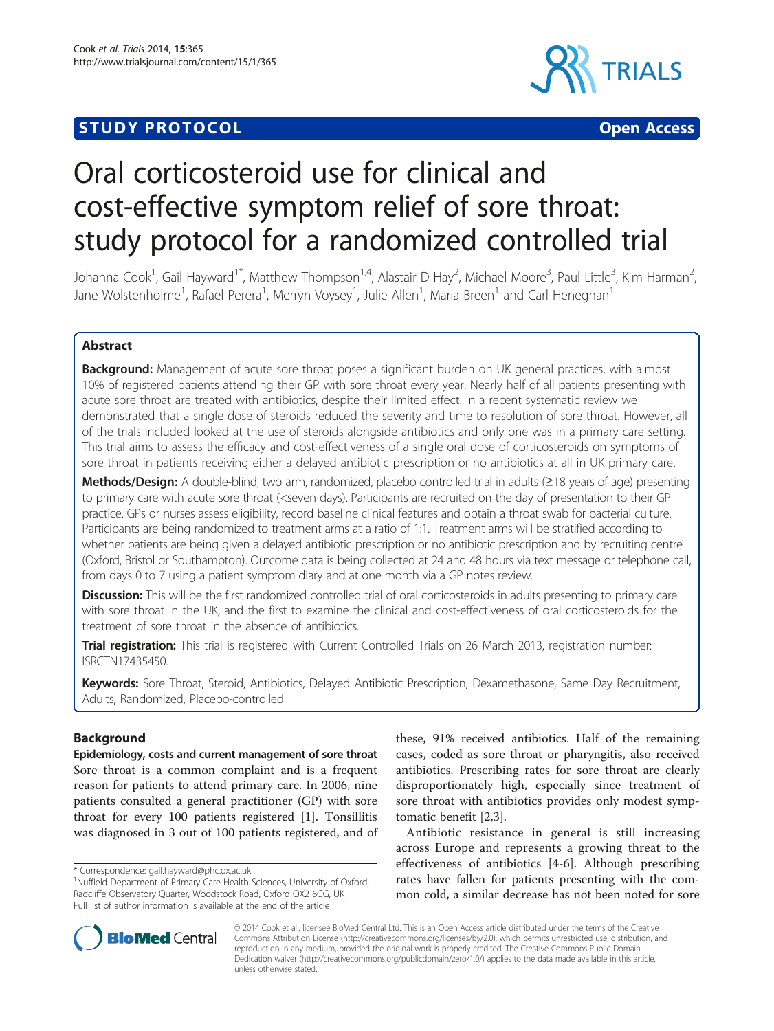## **STUDY PROTOCOL CONSUMING THE CONSUMING OPEN ACCESS**



# Oral corticosteroid use for clinical and cost-effective symptom relief of sore throat: study protocol for a randomized controlled trial

Johanna Cook<sup>1</sup>, Gail Hayward<sup>1\*</sup>, Matthew Thompson<sup>1,4</sup>, Alastair D Hay<sup>2</sup>, Michael Moore<sup>3</sup>, Paul Little<sup>3</sup>, Kim Harman<sup>2</sup> , Jane Wolstenholme<sup>1</sup>, Rafael Perera<sup>1</sup>, Merryn Voysey<sup>1</sup>, Julie Allen<sup>1</sup>, Maria Breen<sup>1</sup> and Carl Heneghan<sup>1</sup>

## Abstract

Background: Management of acute sore throat poses a significant burden on UK general practices, with almost 10% of registered patients attending their GP with sore throat every year. Nearly half of all patients presenting with acute sore throat are treated with antibiotics, despite their limited effect. In a recent systematic review we demonstrated that a single dose of steroids reduced the severity and time to resolution of sore throat. However, all of the trials included looked at the use of steroids alongside antibiotics and only one was in a primary care setting. This trial aims to assess the efficacy and cost-effectiveness of a single oral dose of corticosteroids on symptoms of sore throat in patients receiving either a delayed antibiotic prescription or no antibiotics at all in UK primary care.

Methods/Design: A double-blind, two arm, randomized, placebo controlled trial in adults (≥18 years of age) presenting to primary care with acute sore throat (<seven days). Participants are recruited on the day of presentation to their GP practice. GPs or nurses assess eligibility, record baseline clinical features and obtain a throat swab for bacterial culture. Participants are being randomized to treatment arms at a ratio of 1:1. Treatment arms will be stratified according to whether patients are being given a delayed antibiotic prescription or no antibiotic prescription and by recruiting centre (Oxford, Bristol or Southampton). Outcome data is being collected at 24 and 48 hours via text message or telephone call, from days 0 to 7 using a patient symptom diary and at one month via a GP notes review.

Discussion: This will be the first randomized controlled trial of oral corticosteroids in adults presenting to primary care with sore throat in the UK, and the first to examine the clinical and cost-effectiveness of oral corticosteroids for the treatment of sore throat in the absence of antibiotics.

Trial registration: This trial is registered with Current Controlled Trials on 26 March 2013, registration number: [ISRCTN17435450.](http://www.controlled-trials.com/ISRCTN17435450)

Keywords: Sore Throat, Steroid, Antibiotics, Delayed Antibiotic Prescription, Dexamethasone, Same Day Recruitment, Adults, Randomized, Placebo-controlled

## Background

Epidemiology, costs and current management of sore throat Sore throat is a common complaint and is a frequent reason for patients to attend primary care. In 2006, nine patients consulted a general practitioner (GP) with sore throat for every 100 patients registered [[1\]](#page-12-0). Tonsillitis was diagnosed in 3 out of 100 patients registered, and of

these, 91% received antibiotics. Half of the remaining cases, coded as sore throat or pharyngitis, also received antibiotics. Prescribing rates for sore throat are clearly disproportionately high, especially since treatment of sore throat with antibiotics provides only modest symptomatic benefit [[2,3\]](#page-12-0).

Antibiotic resistance in general is still increasing across Europe and represents a growing threat to the effectiveness of antibiotics [\[4](#page-12-0)-[6\]](#page-12-0). Although prescribing rates have fallen for patients presenting with the common cold, a similar decrease has not been noted for sore



© 2014 Cook et al.; licensee BioMed Central Ltd. This is an Open Access article distributed under the terms of the Creative Commons Attribution License [\(http://creativecommons.org/licenses/by/2.0\)](http://creativecommons.org/licenses/by/2.0), which permits unrestricted use, distribution, and reproduction in any medium, provided the original work is properly credited. The Creative Commons Public Domain Dedication waiver [\(http://creativecommons.org/publicdomain/zero/1.0/](http://creativecommons.org/publicdomain/zero/1.0/)) applies to the data made available in this article, unless otherwise stated.

<sup>\*</sup> Correspondence: [gail.hayward@phc.ox.ac.uk](mailto:gail.hayward@phc.ox.ac.uk) <sup>1</sup>

<sup>&</sup>lt;sup>1</sup>Nuffield Department of Primary Care Health Sciences, University of Oxford, Radcliffe Observatory Quarter, Woodstock Road, Oxford OX2 6GG, UK Full list of author information is available at the end of the article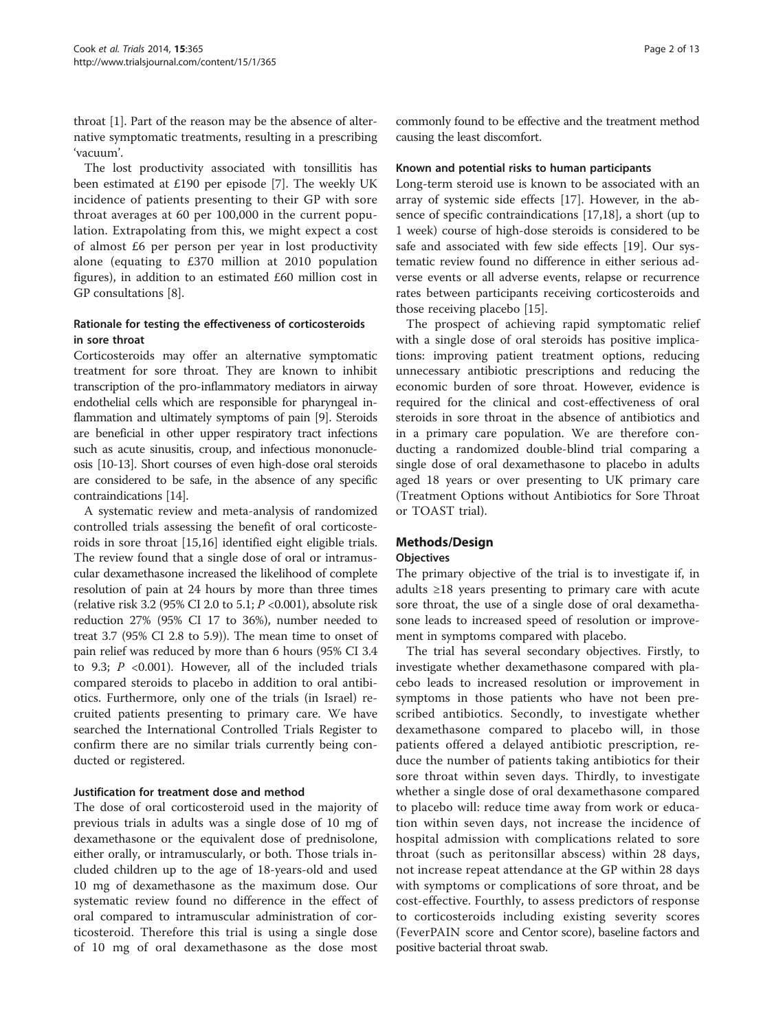throat [\[1](#page-12-0)]. Part of the reason may be the absence of alternative symptomatic treatments, resulting in a prescribing 'vacuum'.

The lost productivity associated with tonsillitis has been estimated at £190 per episode [[7\]](#page-12-0). The weekly UK incidence of patients presenting to their GP with sore throat averages at 60 per 100,000 in the current population. Extrapolating from this, we might expect a cost of almost £6 per person per year in lost productivity alone (equating to £370 million at 2010 population figures), in addition to an estimated £60 million cost in GP consultations [[8\]](#page-12-0).

## Rationale for testing the effectiveness of corticosteroids in sore throat

Corticosteroids may offer an alternative symptomatic treatment for sore throat. They are known to inhibit transcription of the pro-inflammatory mediators in airway endothelial cells which are responsible for pharyngeal inflammation and ultimately symptoms of pain [\[9](#page-12-0)]. Steroids are beneficial in other upper respiratory tract infections such as acute sinusitis, croup, and infectious mononucleosis [[10](#page-12-0)-[13](#page-12-0)]. Short courses of even high-dose oral steroids are considered to be safe, in the absence of any specific contraindications [[14](#page-12-0)].

A systematic review and meta-analysis of randomized controlled trials assessing the benefit of oral corticosteroids in sore throat [[15,16\]](#page-12-0) identified eight eligible trials. The review found that a single dose of oral or intramuscular dexamethasone increased the likelihood of complete resolution of pain at 24 hours by more than three times (relative risk 3.2 (95% CI 2.0 to 5.1; P <0.001), absolute risk reduction 27% (95% CI 17 to 36%), number needed to treat 3.7 (95% CI 2.8 to 5.9)). The mean time to onset of pain relief was reduced by more than 6 hours (95% CI 3.4 to 9.3;  $P < 0.001$ ). However, all of the included trials compared steroids to placebo in addition to oral antibiotics. Furthermore, only one of the trials (in Israel) recruited patients presenting to primary care. We have searched the International Controlled Trials Register to confirm there are no similar trials currently being conducted or registered.

## Justification for treatment dose and method

The dose of oral corticosteroid used in the majority of previous trials in adults was a single dose of 10 mg of dexamethasone or the equivalent dose of prednisolone, either orally, or intramuscularly, or both. Those trials included children up to the age of 18-years-old and used 10 mg of dexamethasone as the maximum dose. Our systematic review found no difference in the effect of oral compared to intramuscular administration of corticosteroid. Therefore this trial is using a single dose of 10 mg of oral dexamethasone as the dose most

commonly found to be effective and the treatment method causing the least discomfort.

## Known and potential risks to human participants

Long-term steroid use is known to be associated with an array of systemic side effects [\[17](#page-12-0)]. However, in the absence of specific contraindications [[17](#page-12-0),[18](#page-12-0)], a short (up to 1 week) course of high-dose steroids is considered to be safe and associated with few side effects [[19\]](#page-12-0). Our systematic review found no difference in either serious adverse events or all adverse events, relapse or recurrence rates between participants receiving corticosteroids and those receiving placebo [\[15](#page-12-0)].

The prospect of achieving rapid symptomatic relief with a single dose of oral steroids has positive implications: improving patient treatment options, reducing unnecessary antibiotic prescriptions and reducing the economic burden of sore throat. However, evidence is required for the clinical and cost-effectiveness of oral steroids in sore throat in the absence of antibiotics and in a primary care population. We are therefore conducting a randomized double-blind trial comparing a single dose of oral dexamethasone to placebo in adults aged 18 years or over presenting to UK primary care (Treatment Options without Antibiotics for Sore Throat or TOAST trial).

## Methods/Design

## **Objectives**

The primary objective of the trial is to investigate if, in adults ≥18 years presenting to primary care with acute sore throat, the use of a single dose of oral dexamethasone leads to increased speed of resolution or improvement in symptoms compared with placebo.

The trial has several secondary objectives. Firstly, to investigate whether dexamethasone compared with placebo leads to increased resolution or improvement in symptoms in those patients who have not been prescribed antibiotics. Secondly, to investigate whether dexamethasone compared to placebo will, in those patients offered a delayed antibiotic prescription, reduce the number of patients taking antibiotics for their sore throat within seven days. Thirdly, to investigate whether a single dose of oral dexamethasone compared to placebo will: reduce time away from work or education within seven days, not increase the incidence of hospital admission with complications related to sore throat (such as peritonsillar abscess) within 28 days, not increase repeat attendance at the GP within 28 days with symptoms or complications of sore throat, and be cost-effective. Fourthly, to assess predictors of response to corticosteroids including existing severity scores (FeverPAIN score and Centor score), baseline factors and positive bacterial throat swab.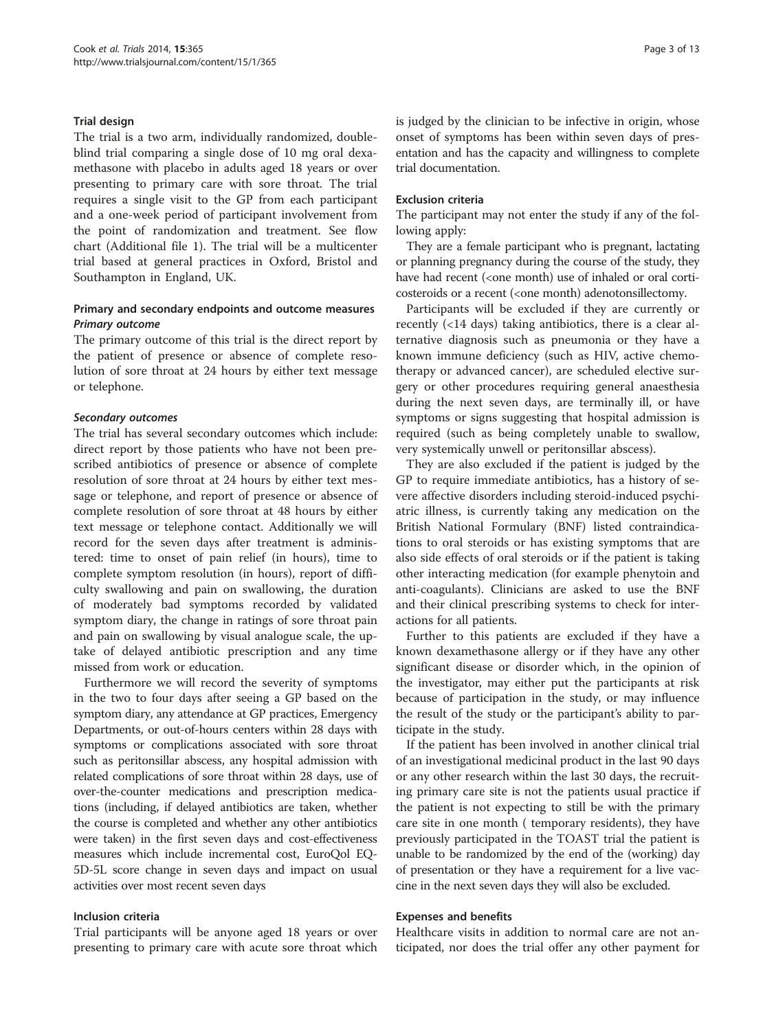#### Trial design

The trial is a two arm, individually randomized, doubleblind trial comparing a single dose of 10 mg oral dexamethasone with placebo in adults aged 18 years or over presenting to primary care with sore throat. The trial requires a single visit to the GP from each participant and a one-week period of participant involvement from the point of randomization and treatment. See flow chart (Additional file [1](#page-12-0)). The trial will be a multicenter trial based at general practices in Oxford, Bristol and Southampton in England, UK.

## Primary and secondary endpoints and outcome measures Primary outcome

The primary outcome of this trial is the direct report by the patient of presence or absence of complete resolution of sore throat at 24 hours by either text message or telephone.

#### Secondary outcomes

The trial has several secondary outcomes which include: direct report by those patients who have not been prescribed antibiotics of presence or absence of complete resolution of sore throat at 24 hours by either text message or telephone, and report of presence or absence of complete resolution of sore throat at 48 hours by either text message or telephone contact. Additionally we will record for the seven days after treatment is administered: time to onset of pain relief (in hours), time to complete symptom resolution (in hours), report of difficulty swallowing and pain on swallowing, the duration of moderately bad symptoms recorded by validated symptom diary, the change in ratings of sore throat pain and pain on swallowing by visual analogue scale, the uptake of delayed antibiotic prescription and any time missed from work or education.

Furthermore we will record the severity of symptoms in the two to four days after seeing a GP based on the symptom diary, any attendance at GP practices, Emergency Departments, or out-of-hours centers within 28 days with symptoms or complications associated with sore throat such as peritonsillar abscess, any hospital admission with related complications of sore throat within 28 days, use of over-the-counter medications and prescription medications (including, if delayed antibiotics are taken, whether the course is completed and whether any other antibiotics were taken) in the first seven days and cost-effectiveness measures which include incremental cost, EuroQol EQ-5D-5L score change in seven days and impact on usual activities over most recent seven days

#### Inclusion criteria

Trial participants will be anyone aged 18 years or over presenting to primary care with acute sore throat which is judged by the clinician to be infective in origin, whose onset of symptoms has been within seven days of presentation and has the capacity and willingness to complete trial documentation.

#### Exclusion criteria

The participant may not enter the study if any of the following apply:

They are a female participant who is pregnant, lactating or planning pregnancy during the course of the study, they have had recent (<one month) use of inhaled or oral corticosteroids or a recent (<one month) adenotonsillectomy.

Participants will be excluded if they are currently or recently (<14 days) taking antibiotics, there is a clear alternative diagnosis such as pneumonia or they have a known immune deficiency (such as HIV, active chemotherapy or advanced cancer), are scheduled elective surgery or other procedures requiring general anaesthesia during the next seven days, are terminally ill, or have symptoms or signs suggesting that hospital admission is required (such as being completely unable to swallow, very systemically unwell or peritonsillar abscess).

They are also excluded if the patient is judged by the GP to require immediate antibiotics, has a history of severe affective disorders including steroid-induced psychiatric illness, is currently taking any medication on the British National Formulary (BNF) listed contraindications to oral steroids or has existing symptoms that are also side effects of oral steroids or if the patient is taking other interacting medication (for example phenytoin and anti-coagulants). Clinicians are asked to use the BNF and their clinical prescribing systems to check for interactions for all patients.

Further to this patients are excluded if they have a known dexamethasone allergy or if they have any other significant disease or disorder which, in the opinion of the investigator, may either put the participants at risk because of participation in the study, or may influence the result of the study or the participant's ability to participate in the study.

If the patient has been involved in another clinical trial of an investigational medicinal product in the last 90 days or any other research within the last 30 days, the recruiting primary care site is not the patients usual practice if the patient is not expecting to still be with the primary care site in one month ( temporary residents), they have previously participated in the TOAST trial the patient is unable to be randomized by the end of the (working) day of presentation or they have a requirement for a live vaccine in the next seven days they will also be excluded.

#### Expenses and benefits

Healthcare visits in addition to normal care are not anticipated, nor does the trial offer any other payment for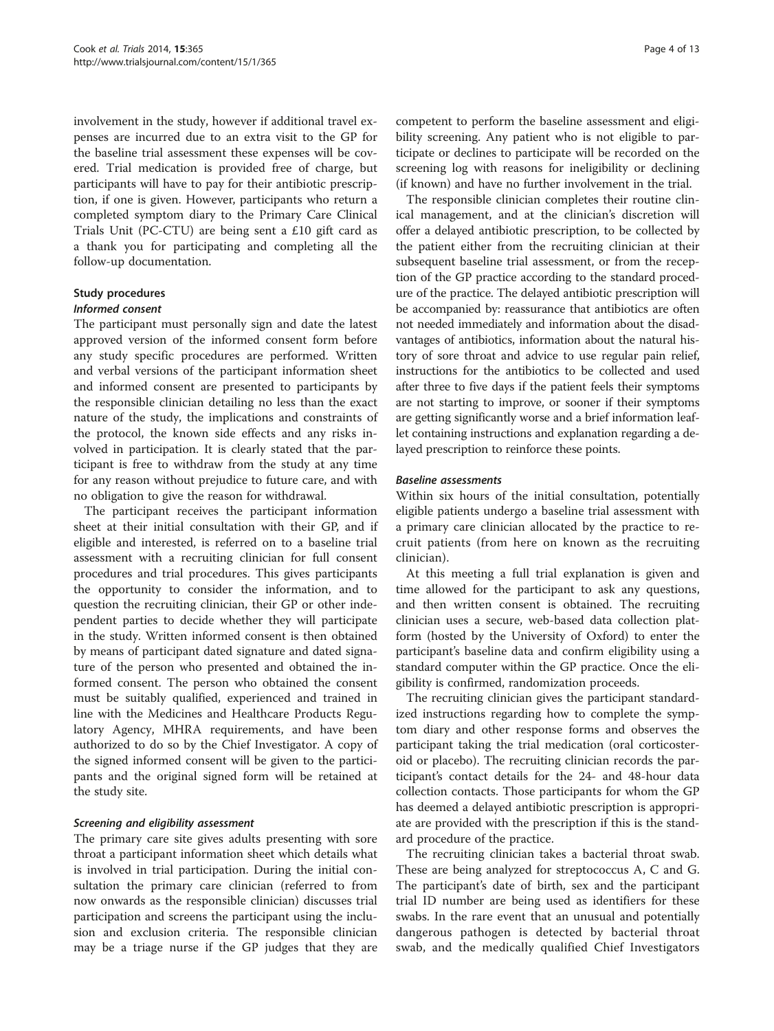involvement in the study, however if additional travel expenses are incurred due to an extra visit to the GP for the baseline trial assessment these expenses will be covered. Trial medication is provided free of charge, but participants will have to pay for their antibiotic prescription, if one is given. However, participants who return a completed symptom diary to the Primary Care Clinical Trials Unit (PC-CTU) are being sent a £10 gift card as a thank you for participating and completing all the follow-up documentation.

## Study procedures

## Informed consent

The participant must personally sign and date the latest approved version of the informed consent form before any study specific procedures are performed. Written and verbal versions of the participant information sheet and informed consent are presented to participants by the responsible clinician detailing no less than the exact nature of the study, the implications and constraints of the protocol, the known side effects and any risks involved in participation. It is clearly stated that the participant is free to withdraw from the study at any time for any reason without prejudice to future care, and with no obligation to give the reason for withdrawal.

The participant receives the participant information sheet at their initial consultation with their GP, and if eligible and interested, is referred on to a baseline trial assessment with a recruiting clinician for full consent procedures and trial procedures. This gives participants the opportunity to consider the information, and to question the recruiting clinician, their GP or other independent parties to decide whether they will participate in the study. Written informed consent is then obtained by means of participant dated signature and dated signature of the person who presented and obtained the informed consent. The person who obtained the consent must be suitably qualified, experienced and trained in line with the Medicines and Healthcare Products Regulatory Agency, MHRA requirements, and have been authorized to do so by the Chief Investigator. A copy of the signed informed consent will be given to the participants and the original signed form will be retained at the study site.

#### Screening and eligibility assessment

The primary care site gives adults presenting with sore throat a participant information sheet which details what is involved in trial participation. During the initial consultation the primary care clinician (referred to from now onwards as the responsible clinician) discusses trial participation and screens the participant using the inclusion and exclusion criteria. The responsible clinician may be a triage nurse if the GP judges that they are competent to perform the baseline assessment and eligibility screening. Any patient who is not eligible to participate or declines to participate will be recorded on the screening log with reasons for ineligibility or declining (if known) and have no further involvement in the trial.

The responsible clinician completes their routine clinical management, and at the clinician's discretion will offer a delayed antibiotic prescription, to be collected by the patient either from the recruiting clinician at their subsequent baseline trial assessment, or from the reception of the GP practice according to the standard procedure of the practice. The delayed antibiotic prescription will be accompanied by: reassurance that antibiotics are often not needed immediately and information about the disadvantages of antibiotics, information about the natural history of sore throat and advice to use regular pain relief, instructions for the antibiotics to be collected and used after three to five days if the patient feels their symptoms are not starting to improve, or sooner if their symptoms are getting significantly worse and a brief information leaflet containing instructions and explanation regarding a delayed prescription to reinforce these points.

#### Baseline assessments

Within six hours of the initial consultation, potentially eligible patients undergo a baseline trial assessment with a primary care clinician allocated by the practice to recruit patients (from here on known as the recruiting clinician).

At this meeting a full trial explanation is given and time allowed for the participant to ask any questions, and then written consent is obtained. The recruiting clinician uses a secure, web-based data collection platform (hosted by the University of Oxford) to enter the participant's baseline data and confirm eligibility using a standard computer within the GP practice. Once the eligibility is confirmed, randomization proceeds.

The recruiting clinician gives the participant standardized instructions regarding how to complete the symptom diary and other response forms and observes the participant taking the trial medication (oral corticosteroid or placebo). The recruiting clinician records the participant's contact details for the 24- and 48-hour data collection contacts. Those participants for whom the GP has deemed a delayed antibiotic prescription is appropriate are provided with the prescription if this is the standard procedure of the practice.

The recruiting clinician takes a bacterial throat swab. These are being analyzed for streptococcus A, C and G. The participant's date of birth, sex and the participant trial ID number are being used as identifiers for these swabs. In the rare event that an unusual and potentially dangerous pathogen is detected by bacterial throat swab, and the medically qualified Chief Investigators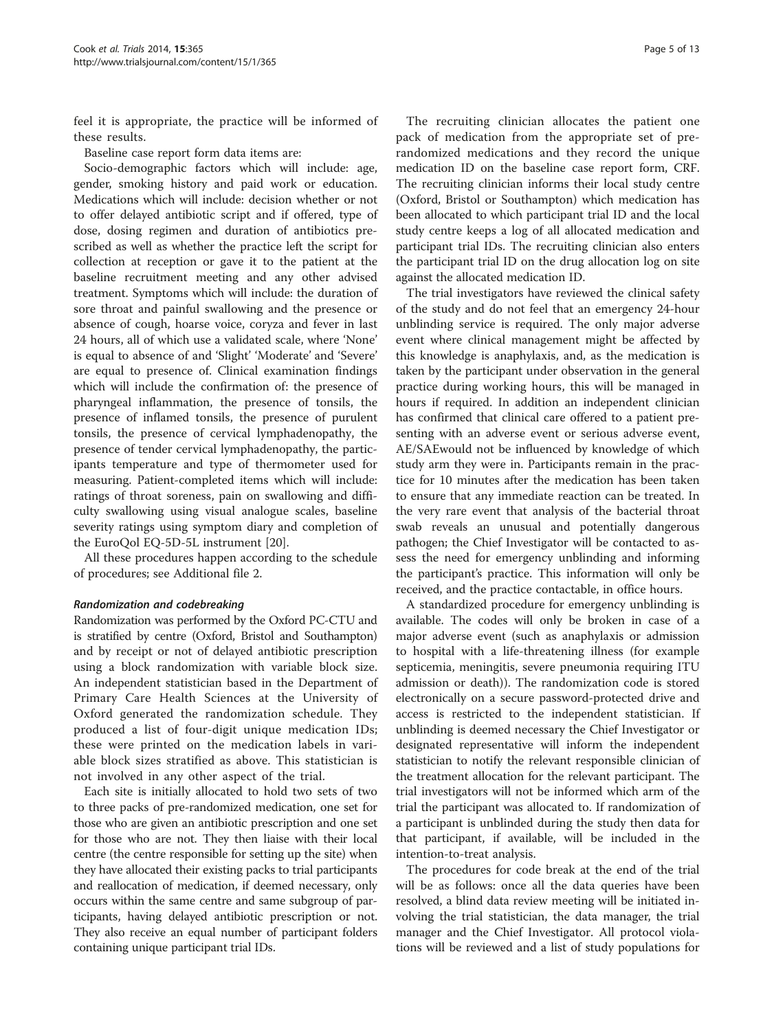feel it is appropriate, the practice will be informed of these results.

Baseline case report form data items are:

Socio-demographic factors which will include: age, gender, smoking history and paid work or education. Medications which will include: decision whether or not to offer delayed antibiotic script and if offered, type of dose, dosing regimen and duration of antibiotics prescribed as well as whether the practice left the script for collection at reception or gave it to the patient at the baseline recruitment meeting and any other advised treatment. Symptoms which will include: the duration of sore throat and painful swallowing and the presence or absence of cough, hoarse voice, coryza and fever in last 24 hours, all of which use a validated scale, where 'None' is equal to absence of and 'Slight' 'Moderate' and 'Severe' are equal to presence of. Clinical examination findings which will include the confirmation of: the presence of pharyngeal inflammation, the presence of tonsils, the presence of inflamed tonsils, the presence of purulent tonsils, the presence of cervical lymphadenopathy, the presence of tender cervical lymphadenopathy, the participants temperature and type of thermometer used for measuring. Patient-completed items which will include: ratings of throat soreness, pain on swallowing and difficulty swallowing using visual analogue scales, baseline severity ratings using symptom diary and completion of the EuroQol EQ-5D-5L instrument [\[20](#page-12-0)].

All these procedures happen according to the schedule of procedures; see Additional file [2.](#page-12-0)

#### Randomization and codebreaking

Randomization was performed by the Oxford PC-CTU and is stratified by centre (Oxford, Bristol and Southampton) and by receipt or not of delayed antibiotic prescription using a block randomization with variable block size. An independent statistician based in the Department of Primary Care Health Sciences at the University of Oxford generated the randomization schedule. They produced a list of four-digit unique medication IDs; these were printed on the medication labels in variable block sizes stratified as above. This statistician is not involved in any other aspect of the trial.

Each site is initially allocated to hold two sets of two to three packs of pre-randomized medication, one set for those who are given an antibiotic prescription and one set for those who are not. They then liaise with their local centre (the centre responsible for setting up the site) when they have allocated their existing packs to trial participants and reallocation of medication, if deemed necessary, only occurs within the same centre and same subgroup of participants, having delayed antibiotic prescription or not. They also receive an equal number of participant folders containing unique participant trial IDs.

The recruiting clinician allocates the patient one pack of medication from the appropriate set of prerandomized medications and they record the unique medication ID on the baseline case report form, CRF. The recruiting clinician informs their local study centre (Oxford, Bristol or Southampton) which medication has been allocated to which participant trial ID and the local study centre keeps a log of all allocated medication and participant trial IDs. The recruiting clinician also enters the participant trial ID on the drug allocation log on site against the allocated medication ID.

The trial investigators have reviewed the clinical safety of the study and do not feel that an emergency 24-hour unblinding service is required. The only major adverse event where clinical management might be affected by this knowledge is anaphylaxis, and, as the medication is taken by the participant under observation in the general practice during working hours, this will be managed in hours if required. In addition an independent clinician has confirmed that clinical care offered to a patient presenting with an adverse event or serious adverse event, AE/SAEwould not be influenced by knowledge of which study arm they were in. Participants remain in the practice for 10 minutes after the medication has been taken to ensure that any immediate reaction can be treated. In the very rare event that analysis of the bacterial throat swab reveals an unusual and potentially dangerous pathogen; the Chief Investigator will be contacted to assess the need for emergency unblinding and informing the participant's practice. This information will only be received, and the practice contactable, in office hours.

A standardized procedure for emergency unblinding is available. The codes will only be broken in case of a major adverse event (such as anaphylaxis or admission to hospital with a life-threatening illness (for example septicemia, meningitis, severe pneumonia requiring ITU admission or death)). The randomization code is stored electronically on a secure password-protected drive and access is restricted to the independent statistician. If unblinding is deemed necessary the Chief Investigator or designated representative will inform the independent statistician to notify the relevant responsible clinician of the treatment allocation for the relevant participant. The trial investigators will not be informed which arm of the trial the participant was allocated to. If randomization of a participant is unblinded during the study then data for that participant, if available, will be included in the intention-to-treat analysis.

The procedures for code break at the end of the trial will be as follows: once all the data queries have been resolved, a blind data review meeting will be initiated involving the trial statistician, the data manager, the trial manager and the Chief Investigator. All protocol violations will be reviewed and a list of study populations for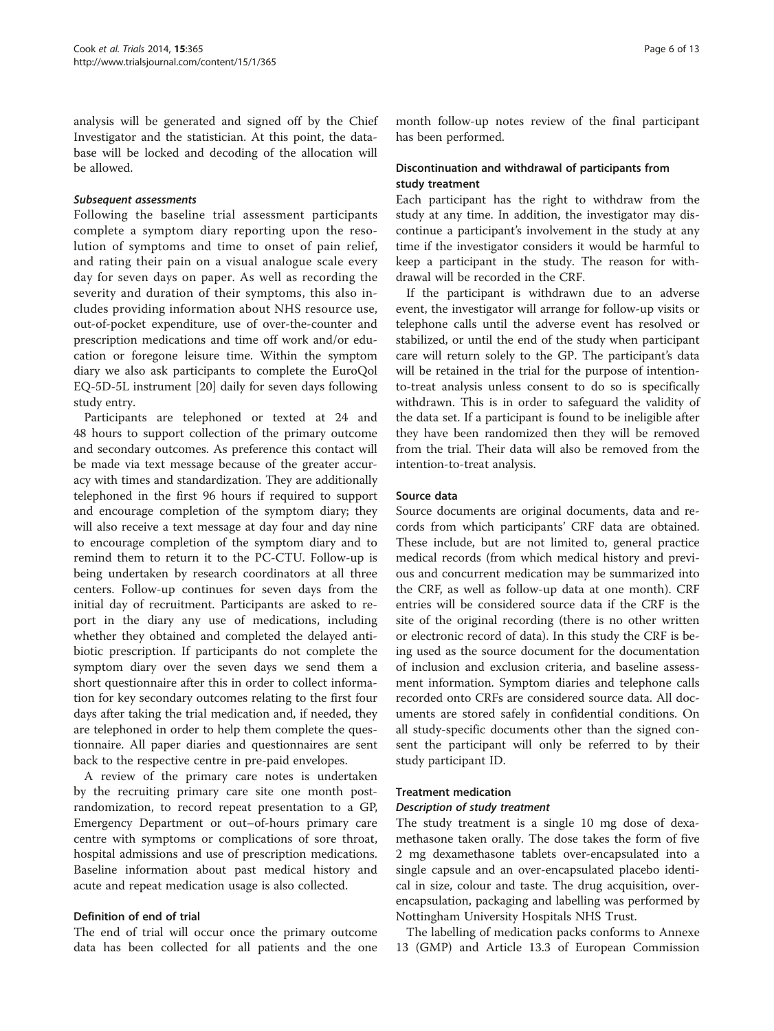analysis will be generated and signed off by the Chief Investigator and the statistician. At this point, the database will be locked and decoding of the allocation will be allowed.

#### Subsequent assessments

Following the baseline trial assessment participants complete a symptom diary reporting upon the resolution of symptoms and time to onset of pain relief, and rating their pain on a visual analogue scale every day for seven days on paper. As well as recording the severity and duration of their symptoms, this also includes providing information about NHS resource use, out-of-pocket expenditure, use of over-the-counter and prescription medications and time off work and/or education or foregone leisure time. Within the symptom diary we also ask participants to complete the EuroQol EQ-5D-5L instrument [[20\]](#page-12-0) daily for seven days following study entry.

Participants are telephoned or texted at 24 and 48 hours to support collection of the primary outcome and secondary outcomes. As preference this contact will be made via text message because of the greater accuracy with times and standardization. They are additionally telephoned in the first 96 hours if required to support and encourage completion of the symptom diary; they will also receive a text message at day four and day nine to encourage completion of the symptom diary and to remind them to return it to the PC-CTU. Follow-up is being undertaken by research coordinators at all three centers. Follow-up continues for seven days from the initial day of recruitment. Participants are asked to report in the diary any use of medications, including whether they obtained and completed the delayed antibiotic prescription. If participants do not complete the symptom diary over the seven days we send them a short questionnaire after this in order to collect information for key secondary outcomes relating to the first four days after taking the trial medication and, if needed, they are telephoned in order to help them complete the questionnaire. All paper diaries and questionnaires are sent back to the respective centre in pre-paid envelopes.

A review of the primary care notes is undertaken by the recruiting primary care site one month postrandomization, to record repeat presentation to a GP, Emergency Department or out–of-hours primary care centre with symptoms or complications of sore throat, hospital admissions and use of prescription medications. Baseline information about past medical history and acute and repeat medication usage is also collected.

#### Definition of end of trial

The end of trial will occur once the primary outcome data has been collected for all patients and the one

month follow-up notes review of the final participant has been performed.

## Discontinuation and withdrawal of participants from study treatment

Each participant has the right to withdraw from the study at any time. In addition, the investigator may discontinue a participant's involvement in the study at any time if the investigator considers it would be harmful to keep a participant in the study. The reason for withdrawal will be recorded in the CRF.

If the participant is withdrawn due to an adverse event, the investigator will arrange for follow-up visits or telephone calls until the adverse event has resolved or stabilized, or until the end of the study when participant care will return solely to the GP. The participant's data will be retained in the trial for the purpose of intentionto-treat analysis unless consent to do so is specifically withdrawn. This is in order to safeguard the validity of the data set. If a participant is found to be ineligible after they have been randomized then they will be removed from the trial. Their data will also be removed from the intention-to-treat analysis.

#### Source data

Source documents are original documents, data and records from which participants' CRF data are obtained. These include, but are not limited to, general practice medical records (from which medical history and previous and concurrent medication may be summarized into the CRF, as well as follow-up data at one month). CRF entries will be considered source data if the CRF is the site of the original recording (there is no other written or electronic record of data). In this study the CRF is being used as the source document for the documentation of inclusion and exclusion criteria, and baseline assessment information. Symptom diaries and telephone calls recorded onto CRFs are considered source data. All documents are stored safely in confidential conditions. On all study-specific documents other than the signed consent the participant will only be referred to by their study participant ID.

#### Treatment medication

#### Description of study treatment

The study treatment is a single 10 mg dose of dexamethasone taken orally. The dose takes the form of five 2 mg dexamethasone tablets over-encapsulated into a single capsule and an over-encapsulated placebo identical in size, colour and taste. The drug acquisition, overencapsulation, packaging and labelling was performed by Nottingham University Hospitals NHS Trust.

The labelling of medication packs conforms to Annexe 13 (GMP) and Article 13.3 of European Commission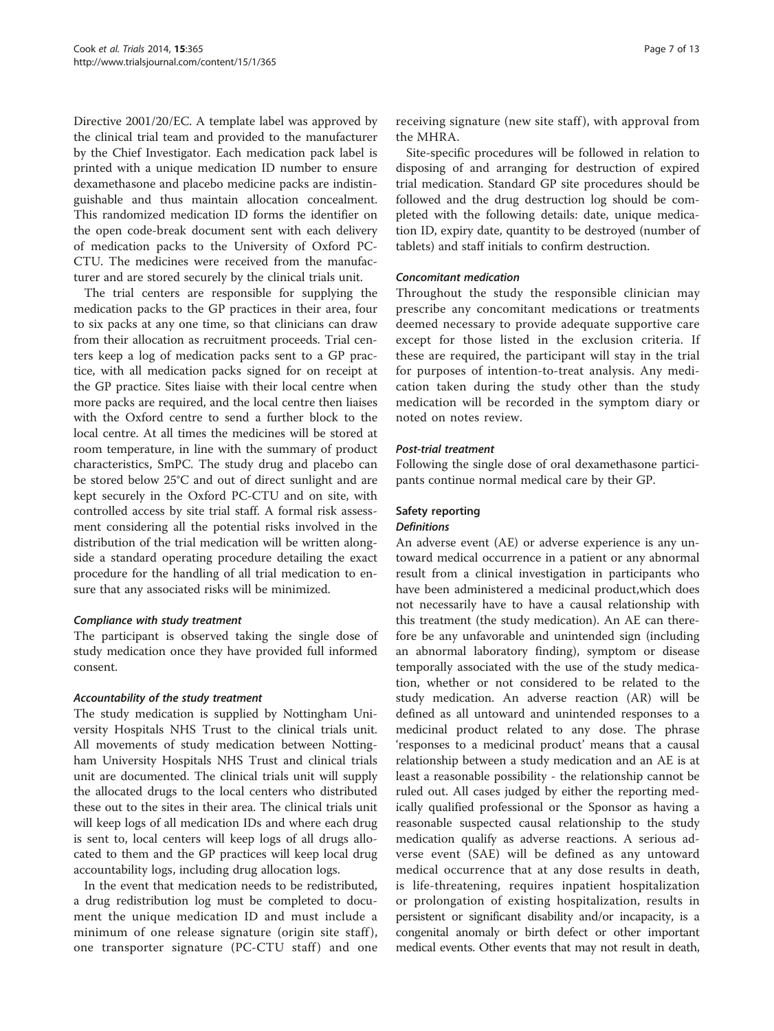Directive 2001/20/EC. A template label was approved by the clinical trial team and provided to the manufacturer by the Chief Investigator. Each medication pack label is printed with a unique medication ID number to ensure dexamethasone and placebo medicine packs are indistinguishable and thus maintain allocation concealment. This randomized medication ID forms the identifier on the open code-break document sent with each delivery of medication packs to the University of Oxford PC-CTU. The medicines were received from the manufacturer and are stored securely by the clinical trials unit.

The trial centers are responsible for supplying the medication packs to the GP practices in their area, four to six packs at any one time, so that clinicians can draw from their allocation as recruitment proceeds. Trial centers keep a log of medication packs sent to a GP practice, with all medication packs signed for on receipt at the GP practice. Sites liaise with their local centre when more packs are required, and the local centre then liaises with the Oxford centre to send a further block to the local centre. At all times the medicines will be stored at room temperature, in line with the summary of product characteristics, SmPC. The study drug and placebo can be stored below 25°C and out of direct sunlight and are kept securely in the Oxford PC-CTU and on site, with controlled access by site trial staff. A formal risk assessment considering all the potential risks involved in the distribution of the trial medication will be written alongside a standard operating procedure detailing the exact procedure for the handling of all trial medication to ensure that any associated risks will be minimized.

## Compliance with study treatment

The participant is observed taking the single dose of study medication once they have provided full informed consent.

## Accountability of the study treatment

The study medication is supplied by Nottingham University Hospitals NHS Trust to the clinical trials unit. All movements of study medication between Nottingham University Hospitals NHS Trust and clinical trials unit are documented. The clinical trials unit will supply the allocated drugs to the local centers who distributed these out to the sites in their area. The clinical trials unit will keep logs of all medication IDs and where each drug is sent to, local centers will keep logs of all drugs allocated to them and the GP practices will keep local drug accountability logs, including drug allocation logs.

In the event that medication needs to be redistributed, a drug redistribution log must be completed to document the unique medication ID and must include a minimum of one release signature (origin site staff), one transporter signature (PC-CTU staff) and one

receiving signature (new site staff), with approval from the MHRA.

Site-specific procedures will be followed in relation to disposing of and arranging for destruction of expired trial medication. Standard GP site procedures should be followed and the drug destruction log should be completed with the following details: date, unique medication ID, expiry date, quantity to be destroyed (number of tablets) and staff initials to confirm destruction.

## Concomitant medication

Throughout the study the responsible clinician may prescribe any concomitant medications or treatments deemed necessary to provide adequate supportive care except for those listed in the exclusion criteria. If these are required, the participant will stay in the trial for purposes of intention-to-treat analysis. Any medication taken during the study other than the study medication will be recorded in the symptom diary or noted on notes review.

## Post-trial treatment

Following the single dose of oral dexamethasone participants continue normal medical care by their GP.

## Safety reporting

#### Definitions

An adverse event (AE) or adverse experience is any untoward medical occurrence in a patient or any abnormal result from a clinical investigation in participants who have been administered a medicinal product,which does not necessarily have to have a causal relationship with this treatment (the study medication). An AE can therefore be any unfavorable and unintended sign (including an abnormal laboratory finding), symptom or disease temporally associated with the use of the study medication, whether or not considered to be related to the study medication. An adverse reaction (AR) will be defined as all untoward and unintended responses to a medicinal product related to any dose. The phrase 'responses to a medicinal product' means that a causal relationship between a study medication and an AE is at least a reasonable possibility - the relationship cannot be ruled out. All cases judged by either the reporting medically qualified professional or the Sponsor as having a reasonable suspected causal relationship to the study medication qualify as adverse reactions. A serious adverse event (SAE) will be defined as any untoward medical occurrence that at any dose results in death, is life-threatening, requires inpatient hospitalization or prolongation of existing hospitalization, results in persistent or significant disability and/or incapacity, is a congenital anomaly or birth defect or other important medical events. Other events that may not result in death,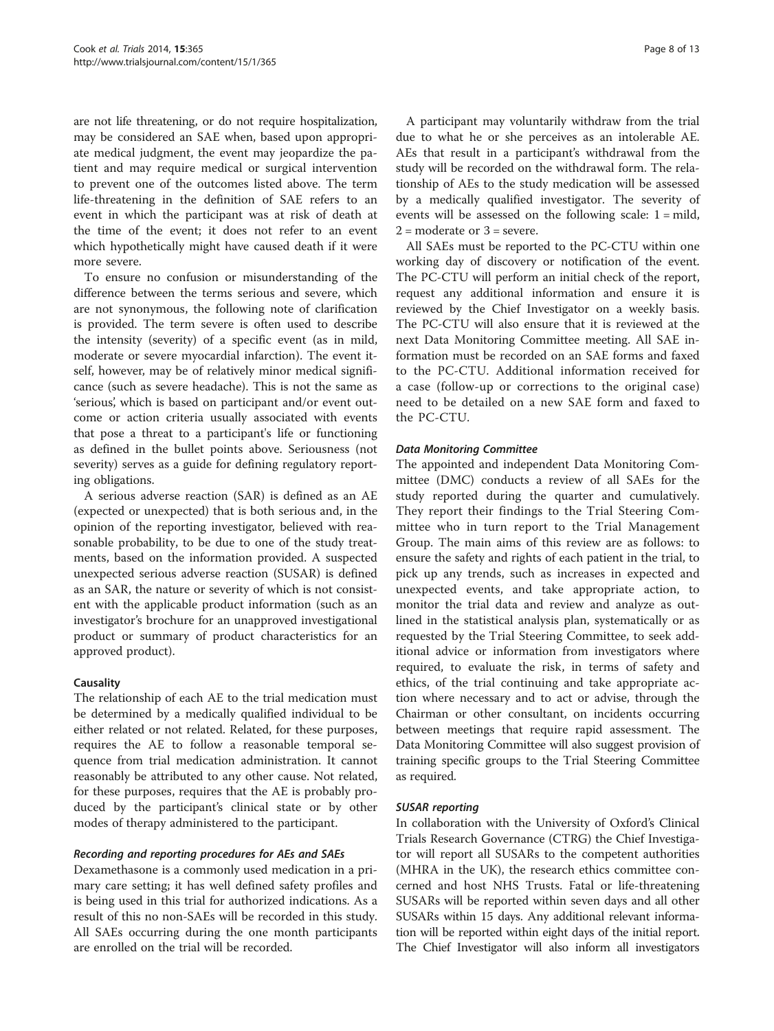are not life threatening, or do not require hospitalization, may be considered an SAE when, based upon appropriate medical judgment, the event may jeopardize the patient and may require medical or surgical intervention to prevent one of the outcomes listed above. The term life-threatening in the definition of SAE refers to an event in which the participant was at risk of death at the time of the event; it does not refer to an event which hypothetically might have caused death if it were more severe.

To ensure no confusion or misunderstanding of the difference between the terms serious and severe, which are not synonymous, the following note of clarification is provided. The term severe is often used to describe the intensity (severity) of a specific event (as in mild, moderate or severe myocardial infarction). The event itself, however, may be of relatively minor medical significance (such as severe headache). This is not the same as 'serious', which is based on participant and/or event outcome or action criteria usually associated with events that pose a threat to a participant's life or functioning as defined in the bullet points above. Seriousness (not severity) serves as a guide for defining regulatory reporting obligations.

A serious adverse reaction (SAR) is defined as an AE (expected or unexpected) that is both serious and, in the opinion of the reporting investigator, believed with reasonable probability, to be due to one of the study treatments, based on the information provided. A suspected unexpected serious adverse reaction (SUSAR) is defined as an SAR, the nature or severity of which is not consistent with the applicable product information (such as an investigator's brochure for an unapproved investigational product or summary of product characteristics for an approved product).

## Causality

The relationship of each AE to the trial medication must be determined by a medically qualified individual to be either related or not related. Related, for these purposes, requires the AE to follow a reasonable temporal sequence from trial medication administration. It cannot reasonably be attributed to any other cause. Not related, for these purposes, requires that the AE is probably produced by the participant's clinical state or by other modes of therapy administered to the participant.

## Recording and reporting procedures for AEs and SAEs

Dexamethasone is a commonly used medication in a primary care setting; it has well defined safety profiles and is being used in this trial for authorized indications. As a result of this no non-SAEs will be recorded in this study. All SAEs occurring during the one month participants are enrolled on the trial will be recorded.

A participant may voluntarily withdraw from the trial due to what he or she perceives as an intolerable AE. AEs that result in a participant's withdrawal from the study will be recorded on the withdrawal form. The relationship of AEs to the study medication will be assessed by a medically qualified investigator. The severity of events will be assessed on the following scale:  $1 = \text{mild}$ ,  $2 =$  moderate or  $3 =$  severe.

All SAEs must be reported to the PC-CTU within one working day of discovery or notification of the event. The PC-CTU will perform an initial check of the report, request any additional information and ensure it is reviewed by the Chief Investigator on a weekly basis. The PC-CTU will also ensure that it is reviewed at the next Data Monitoring Committee meeting. All SAE information must be recorded on an SAE forms and faxed to the PC-CTU. Additional information received for a case (follow-up or corrections to the original case) need to be detailed on a new SAE form and faxed to the PC-CTU.

## Data Monitoring Committee

The appointed and independent Data Monitoring Committee (DMC) conducts a review of all SAEs for the study reported during the quarter and cumulatively. They report their findings to the Trial Steering Committee who in turn report to the Trial Management Group. The main aims of this review are as follows: to ensure the safety and rights of each patient in the trial, to pick up any trends, such as increases in expected and unexpected events, and take appropriate action, to monitor the trial data and review and analyze as outlined in the statistical analysis plan, systematically or as requested by the Trial Steering Committee, to seek additional advice or information from investigators where required, to evaluate the risk, in terms of safety and ethics, of the trial continuing and take appropriate action where necessary and to act or advise, through the Chairman or other consultant, on incidents occurring between meetings that require rapid assessment. The Data Monitoring Committee will also suggest provision of training specific groups to the Trial Steering Committee as required.

## SUSAR reporting

In collaboration with the University of Oxford's Clinical Trials Research Governance (CTRG) the Chief Investigator will report all SUSARs to the competent authorities (MHRA in the UK), the research ethics committee concerned and host NHS Trusts. Fatal or life-threatening SUSARs will be reported within seven days and all other SUSARs within 15 days. Any additional relevant information will be reported within eight days of the initial report. The Chief Investigator will also inform all investigators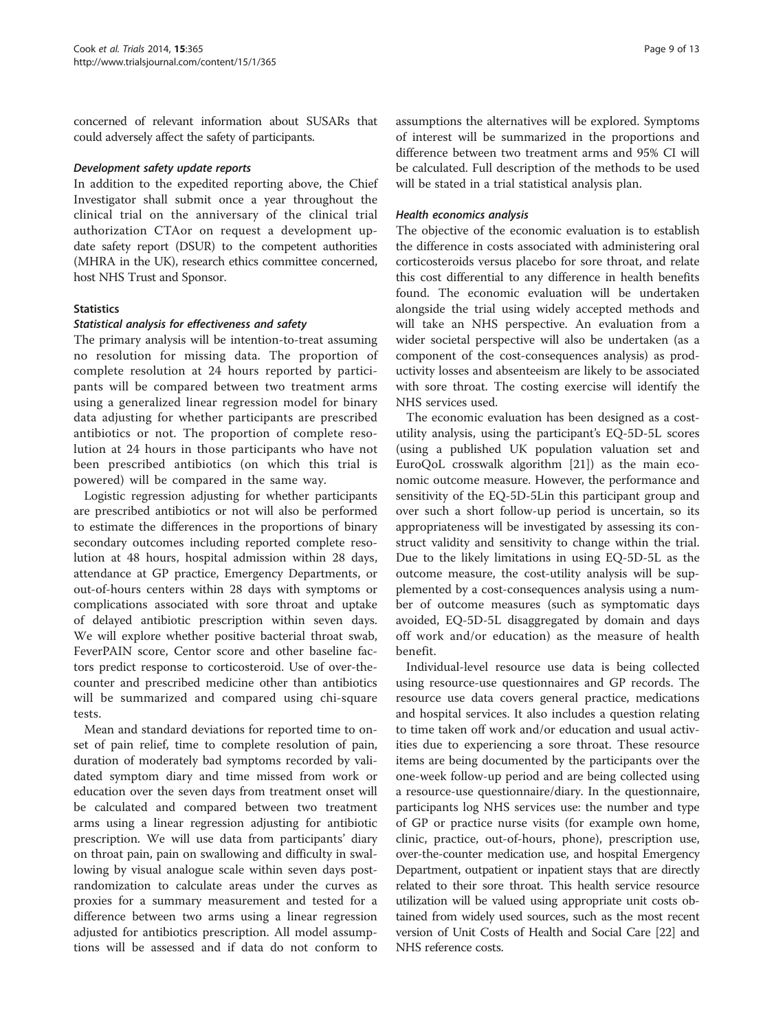concerned of relevant information about SUSARs that could adversely affect the safety of participants.

#### Development safety update reports

In addition to the expedited reporting above, the Chief Investigator shall submit once a year throughout the clinical trial on the anniversary of the clinical trial authorization CTAor on request a development update safety report (DSUR) to the competent authorities (MHRA in the UK), research ethics committee concerned, host NHS Trust and Sponsor.

## **Statistics**

## Statistical analysis for effectiveness and safety

The primary analysis will be intention-to-treat assuming no resolution for missing data. The proportion of complete resolution at 24 hours reported by participants will be compared between two treatment arms using a generalized linear regression model for binary data adjusting for whether participants are prescribed antibiotics or not. The proportion of complete resolution at 24 hours in those participants who have not been prescribed antibiotics (on which this trial is powered) will be compared in the same way.

Logistic regression adjusting for whether participants are prescribed antibiotics or not will also be performed to estimate the differences in the proportions of binary secondary outcomes including reported complete resolution at 48 hours, hospital admission within 28 days, attendance at GP practice, Emergency Departments, or out-of-hours centers within 28 days with symptoms or complications associated with sore throat and uptake of delayed antibiotic prescription within seven days. We will explore whether positive bacterial throat swab, FeverPAIN score, Centor score and other baseline factors predict response to corticosteroid. Use of over-thecounter and prescribed medicine other than antibiotics will be summarized and compared using chi-square tests.

Mean and standard deviations for reported time to onset of pain relief, time to complete resolution of pain, duration of moderately bad symptoms recorded by validated symptom diary and time missed from work or education over the seven days from treatment onset will be calculated and compared between two treatment arms using a linear regression adjusting for antibiotic prescription. We will use data from participants' diary on throat pain, pain on swallowing and difficulty in swallowing by visual analogue scale within seven days postrandomization to calculate areas under the curves as proxies for a summary measurement and tested for a difference between two arms using a linear regression adjusted for antibiotics prescription. All model assumptions will be assessed and if data do not conform to

assumptions the alternatives will be explored. Symptoms of interest will be summarized in the proportions and difference between two treatment arms and 95% CI will be calculated. Full description of the methods to be used will be stated in a trial statistical analysis plan.

## Health economics analysis

The objective of the economic evaluation is to establish the difference in costs associated with administering oral corticosteroids versus placebo for sore throat, and relate this cost differential to any difference in health benefits found. The economic evaluation will be undertaken alongside the trial using widely accepted methods and will take an NHS perspective. An evaluation from a wider societal perspective will also be undertaken (as a component of the cost-consequences analysis) as productivity losses and absenteeism are likely to be associated with sore throat. The costing exercise will identify the NHS services used.

The economic evaluation has been designed as a costutility analysis, using the participant's EQ-5D-5L scores (using a published UK population valuation set and EuroQoL crosswalk algorithm [\[21](#page-12-0)]) as the main economic outcome measure. However, the performance and sensitivity of the EQ-5D-5Lin this participant group and over such a short follow-up period is uncertain, so its appropriateness will be investigated by assessing its construct validity and sensitivity to change within the trial. Due to the likely limitations in using EQ-5D-5L as the outcome measure, the cost-utility analysis will be supplemented by a cost-consequences analysis using a number of outcome measures (such as symptomatic days avoided, EQ-5D-5L disaggregated by domain and days off work and/or education) as the measure of health benefit.

Individual-level resource use data is being collected using resource-use questionnaires and GP records. The resource use data covers general practice, medications and hospital services. It also includes a question relating to time taken off work and/or education and usual activities due to experiencing a sore throat. These resource items are being documented by the participants over the one-week follow-up period and are being collected using a resource-use questionnaire/diary. In the questionnaire, participants log NHS services use: the number and type of GP or practice nurse visits (for example own home, clinic, practice, out-of-hours, phone), prescription use, over-the-counter medication use, and hospital Emergency Department, outpatient or inpatient stays that are directly related to their sore throat. This health service resource utilization will be valued using appropriate unit costs obtained from widely used sources, such as the most recent version of Unit Costs of Health and Social Care [[22](#page-12-0)] and NHS reference costs.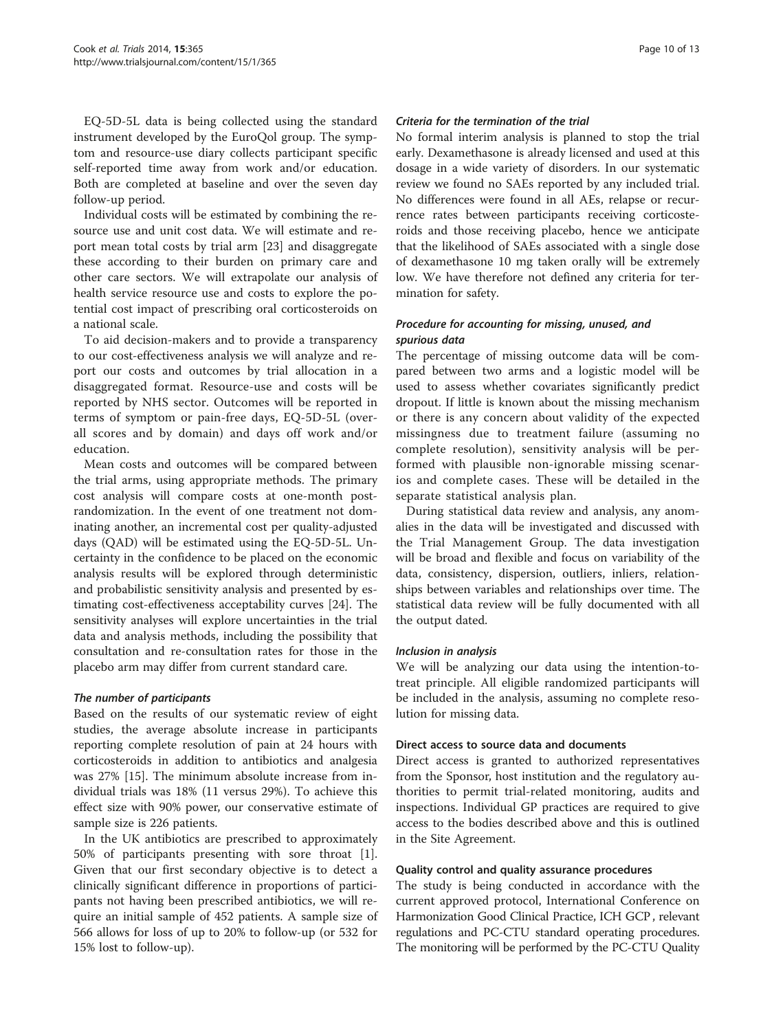EQ-5D-5L data is being collected using the standard instrument developed by the EuroQol group. The symptom and resource-use diary collects participant specific self-reported time away from work and/or education. Both are completed at baseline and over the seven day follow-up period.

Individual costs will be estimated by combining the resource use and unit cost data. We will estimate and report mean total costs by trial arm [\[23](#page-12-0)] and disaggregate these according to their burden on primary care and other care sectors. We will extrapolate our analysis of health service resource use and costs to explore the potential cost impact of prescribing oral corticosteroids on a national scale.

To aid decision-makers and to provide a transparency to our cost-effectiveness analysis we will analyze and report our costs and outcomes by trial allocation in a disaggregated format. Resource-use and costs will be reported by NHS sector. Outcomes will be reported in terms of symptom or pain-free days, EQ-5D-5L (overall scores and by domain) and days off work and/or education.

Mean costs and outcomes will be compared between the trial arms, using appropriate methods. The primary cost analysis will compare costs at one-month postrandomization. In the event of one treatment not dominating another, an incremental cost per quality-adjusted days (QAD) will be estimated using the EQ-5D-5L. Uncertainty in the confidence to be placed on the economic analysis results will be explored through deterministic and probabilistic sensitivity analysis and presented by estimating cost-effectiveness acceptability curves [[24\]](#page-12-0). The sensitivity analyses will explore uncertainties in the trial data and analysis methods, including the possibility that consultation and re-consultation rates for those in the placebo arm may differ from current standard care.

## The number of participants

Based on the results of our systematic review of eight studies, the average absolute increase in participants reporting complete resolution of pain at 24 hours with corticosteroids in addition to antibiotics and analgesia was 27% [[15\]](#page-12-0). The minimum absolute increase from individual trials was 18% (11 versus 29%). To achieve this effect size with 90% power, our conservative estimate of sample size is 226 patients.

In the UK antibiotics are prescribed to approximately 50% of participants presenting with sore throat [\[1](#page-12-0)]. Given that our first secondary objective is to detect a clinically significant difference in proportions of participants not having been prescribed antibiotics, we will require an initial sample of 452 patients. A sample size of 566 allows for loss of up to 20% to follow-up (or 532 for 15% lost to follow-up).

#### Criteria for the termination of the trial

No formal interim analysis is planned to stop the trial early. Dexamethasone is already licensed and used at this dosage in a wide variety of disorders. In our systematic review we found no SAEs reported by any included trial. No differences were found in all AEs, relapse or recurrence rates between participants receiving corticosteroids and those receiving placebo, hence we anticipate that the likelihood of SAEs associated with a single dose of dexamethasone 10 mg taken orally will be extremely low. We have therefore not defined any criteria for termination for safety.

## Procedure for accounting for missing, unused, and spurious data

The percentage of missing outcome data will be compared between two arms and a logistic model will be used to assess whether covariates significantly predict dropout. If little is known about the missing mechanism or there is any concern about validity of the expected missingness due to treatment failure (assuming no complete resolution), sensitivity analysis will be performed with plausible non-ignorable missing scenarios and complete cases. These will be detailed in the separate statistical analysis plan.

During statistical data review and analysis, any anomalies in the data will be investigated and discussed with the Trial Management Group. The data investigation will be broad and flexible and focus on variability of the data, consistency, dispersion, outliers, inliers, relationships between variables and relationships over time. The statistical data review will be fully documented with all the output dated.

#### Inclusion in analysis

We will be analyzing our data using the intention-totreat principle. All eligible randomized participants will be included in the analysis, assuming no complete resolution for missing data.

#### Direct access to source data and documents

Direct access is granted to authorized representatives from the Sponsor, host institution and the regulatory authorities to permit trial-related monitoring, audits and inspections. Individual GP practices are required to give access to the bodies described above and this is outlined in the Site Agreement.

## Quality control and quality assurance procedures

The study is being conducted in accordance with the current approved protocol, International Conference on Harmonization Good Clinical Practice, ICH GCP , relevant regulations and PC-CTU standard operating procedures. The monitoring will be performed by the PC-CTU Quality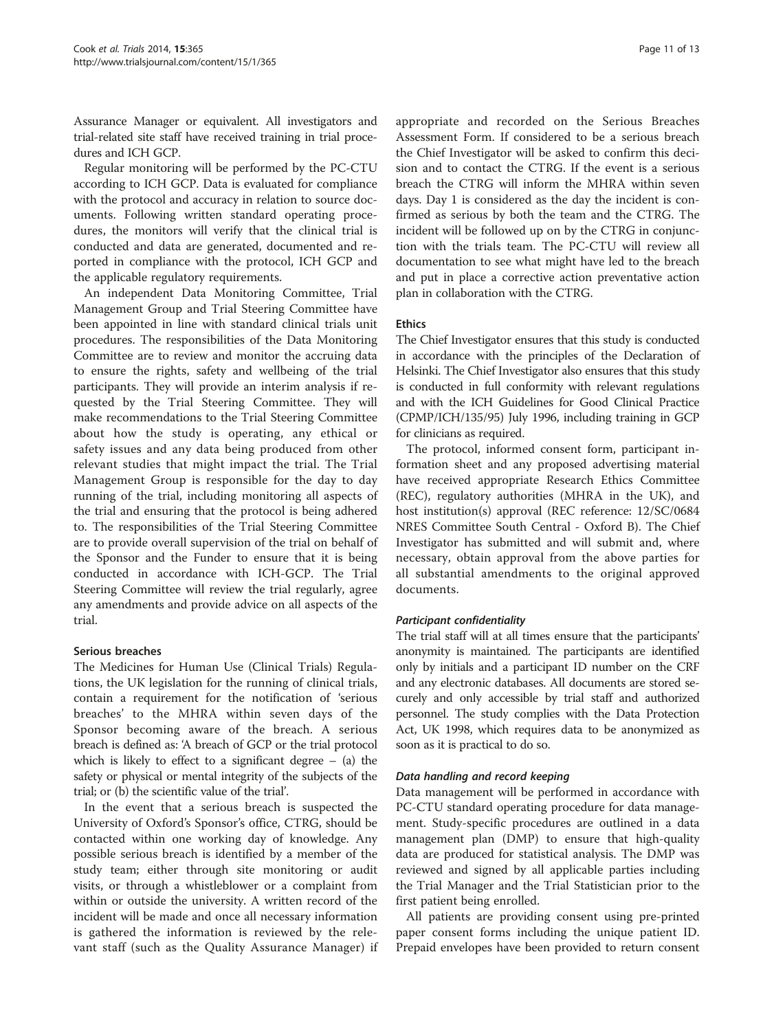Assurance Manager or equivalent. All investigators and trial-related site staff have received training in trial procedures and ICH GCP.

Regular monitoring will be performed by the PC-CTU according to ICH GCP. Data is evaluated for compliance with the protocol and accuracy in relation to source documents. Following written standard operating procedures, the monitors will verify that the clinical trial is conducted and data are generated, documented and reported in compliance with the protocol, ICH GCP and the applicable regulatory requirements.

An independent Data Monitoring Committee, Trial Management Group and Trial Steering Committee have been appointed in line with standard clinical trials unit procedures. The responsibilities of the Data Monitoring Committee are to review and monitor the accruing data to ensure the rights, safety and wellbeing of the trial participants. They will provide an interim analysis if requested by the Trial Steering Committee. They will make recommendations to the Trial Steering Committee about how the study is operating, any ethical or safety issues and any data being produced from other relevant studies that might impact the trial. The Trial Management Group is responsible for the day to day running of the trial, including monitoring all aspects of the trial and ensuring that the protocol is being adhered to. The responsibilities of the Trial Steering Committee are to provide overall supervision of the trial on behalf of the Sponsor and the Funder to ensure that it is being conducted in accordance with ICH-GCP. The Trial Steering Committee will review the trial regularly, agree any amendments and provide advice on all aspects of the trial.

#### Serious breaches

The Medicines for Human Use (Clinical Trials) Regulations, the UK legislation for the running of clinical trials, contain a requirement for the notification of 'serious breaches' to the MHRA within seven days of the Sponsor becoming aware of the breach. A serious breach is defined as: 'A breach of GCP or the trial protocol which is likely to effect to a significant degree  $-$  (a) the safety or physical or mental integrity of the subjects of the trial; or (b) the scientific value of the trial'.

In the event that a serious breach is suspected the University of Oxford's Sponsor's office, CTRG, should be contacted within one working day of knowledge. Any possible serious breach is identified by a member of the study team; either through site monitoring or audit visits, or through a whistleblower or a complaint from within or outside the university. A written record of the incident will be made and once all necessary information is gathered the information is reviewed by the relevant staff (such as the Quality Assurance Manager) if

appropriate and recorded on the Serious Breaches Assessment Form. If considered to be a serious breach the Chief Investigator will be asked to confirm this decision and to contact the CTRG. If the event is a serious breach the CTRG will inform the MHRA within seven days. Day 1 is considered as the day the incident is confirmed as serious by both the team and the CTRG. The incident will be followed up on by the CTRG in conjunction with the trials team. The PC-CTU will review all documentation to see what might have led to the breach and put in place a corrective action preventative action plan in collaboration with the CTRG.

## **Ethics**

The Chief Investigator ensures that this study is conducted in accordance with the principles of the Declaration of Helsinki. The Chief Investigator also ensures that this study is conducted in full conformity with relevant regulations and with the ICH Guidelines for Good Clinical Practice (CPMP/ICH/135/95) July 1996, including training in GCP for clinicians as required.

The protocol, informed consent form, participant information sheet and any proposed advertising material have received appropriate Research Ethics Committee (REC), regulatory authorities (MHRA in the UK), and host institution(s) approval (REC reference: 12/SC/0684 NRES Committee South Central - Oxford B). The Chief Investigator has submitted and will submit and, where necessary, obtain approval from the above parties for all substantial amendments to the original approved documents.

#### Participant confidentiality

The trial staff will at all times ensure that the participants' anonymity is maintained. The participants are identified only by initials and a participant ID number on the CRF and any electronic databases. All documents are stored securely and only accessible by trial staff and authorized personnel. The study complies with the Data Protection Act, UK 1998, which requires data to be anonymized as soon as it is practical to do so.

#### Data handling and record keeping

Data management will be performed in accordance with PC-CTU standard operating procedure for data management. Study-specific procedures are outlined in a data management plan (DMP) to ensure that high-quality data are produced for statistical analysis. The DMP was reviewed and signed by all applicable parties including the Trial Manager and the Trial Statistician prior to the first patient being enrolled.

All patients are providing consent using pre-printed paper consent forms including the unique patient ID. Prepaid envelopes have been provided to return consent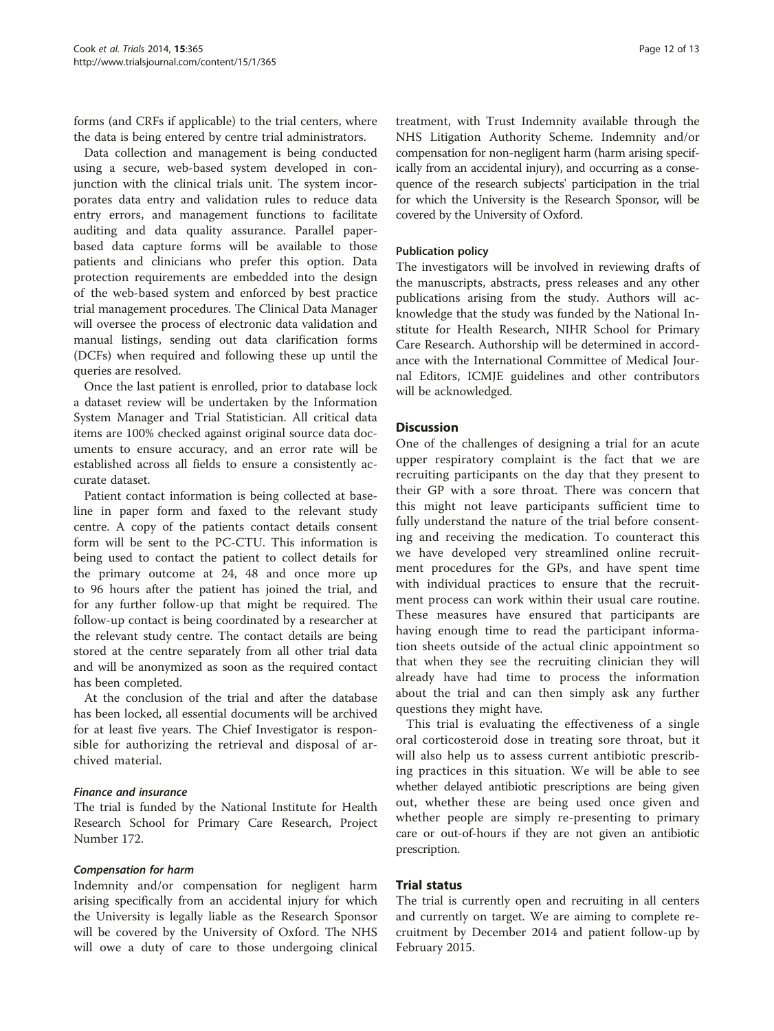forms (and CRFs if applicable) to the trial centers, where the data is being entered by centre trial administrators.

Data collection and management is being conducted using a secure, web-based system developed in conjunction with the clinical trials unit. The system incorporates data entry and validation rules to reduce data entry errors, and management functions to facilitate auditing and data quality assurance. Parallel paperbased data capture forms will be available to those patients and clinicians who prefer this option. Data protection requirements are embedded into the design of the web-based system and enforced by best practice trial management procedures. The Clinical Data Manager will oversee the process of electronic data validation and manual listings, sending out data clarification forms (DCFs) when required and following these up until the queries are resolved.

Once the last patient is enrolled, prior to database lock a dataset review will be undertaken by the Information System Manager and Trial Statistician. All critical data items are 100% checked against original source data documents to ensure accuracy, and an error rate will be established across all fields to ensure a consistently accurate dataset.

Patient contact information is being collected at baseline in paper form and faxed to the relevant study centre. A copy of the patients contact details consent form will be sent to the PC-CTU. This information is being used to contact the patient to collect details for the primary outcome at 24, 48 and once more up to 96 hours after the patient has joined the trial, and for any further follow-up that might be required. The follow-up contact is being coordinated by a researcher at the relevant study centre. The contact details are being stored at the centre separately from all other trial data and will be anonymized as soon as the required contact has been completed.

At the conclusion of the trial and after the database has been locked, all essential documents will be archived for at least five years. The Chief Investigator is responsible for authorizing the retrieval and disposal of archived material.

## Finance and insurance

The trial is funded by the National Institute for Health Research School for Primary Care Research, Project Number 172.

## Compensation for harm

Indemnity and/or compensation for negligent harm arising specifically from an accidental injury for which the University is legally liable as the Research Sponsor will be covered by the University of Oxford. The NHS will owe a duty of care to those undergoing clinical

treatment, with Trust Indemnity available through the NHS Litigation Authority Scheme. Indemnity and/or compensation for non-negligent harm (harm arising specifically from an accidental injury), and occurring as a consequence of the research subjects' participation in the trial for which the University is the Research Sponsor, will be covered by the University of Oxford.

## Publication policy

The investigators will be involved in reviewing drafts of the manuscripts, abstracts, press releases and any other publications arising from the study. Authors will acknowledge that the study was funded by the National Institute for Health Research, NIHR School for Primary Care Research. Authorship will be determined in accordance with the International Committee of Medical Journal Editors, ICMJE guidelines and other contributors will be acknowledged.

## **Discussion**

One of the challenges of designing a trial for an acute upper respiratory complaint is the fact that we are recruiting participants on the day that they present to their GP with a sore throat. There was concern that this might not leave participants sufficient time to fully understand the nature of the trial before consenting and receiving the medication. To counteract this we have developed very streamlined online recruitment procedures for the GPs, and have spent time with individual practices to ensure that the recruitment process can work within their usual care routine. These measures have ensured that participants are having enough time to read the participant information sheets outside of the actual clinic appointment so that when they see the recruiting clinician they will already have had time to process the information about the trial and can then simply ask any further questions they might have.

This trial is evaluating the effectiveness of a single oral corticosteroid dose in treating sore throat, but it will also help us to assess current antibiotic prescribing practices in this situation. We will be able to see whether delayed antibiotic prescriptions are being given out, whether these are being used once given and whether people are simply re-presenting to primary care or out-of-hours if they are not given an antibiotic prescription.

## Trial status

The trial is currently open and recruiting in all centers and currently on target. We are aiming to complete recruitment by December 2014 and patient follow-up by February 2015.